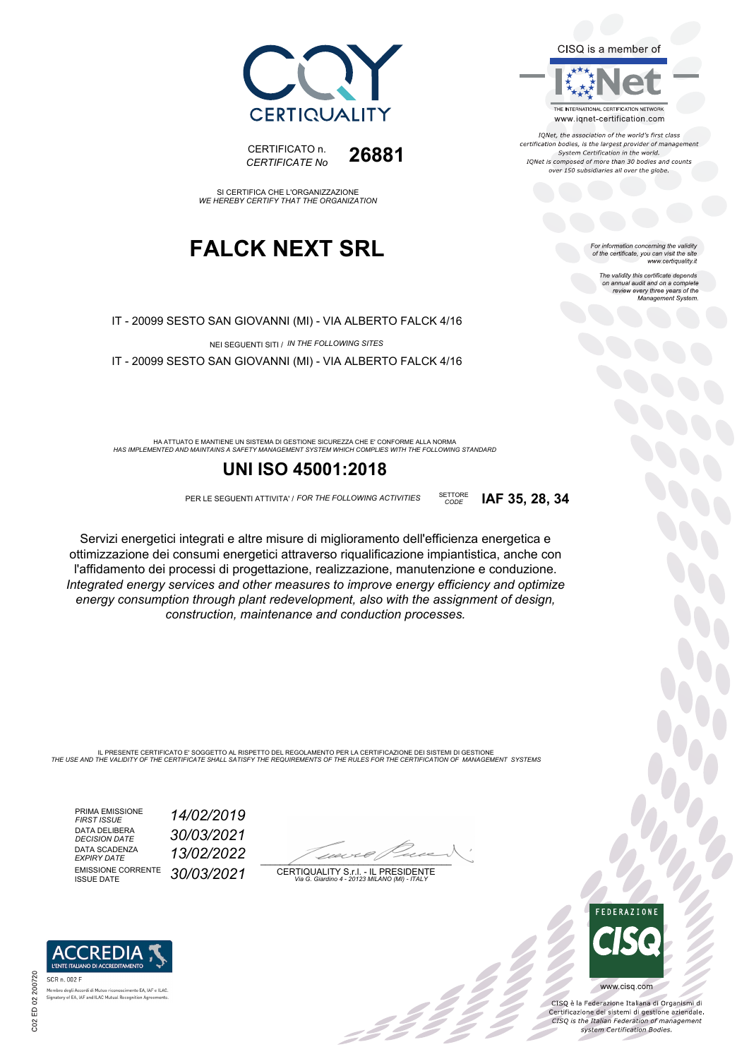



IONet, the association of the world's first class certification bodies, is the largest provider of management<br>System Certification in the world. IQNet is composed of more than 30 bodies and counts over 150 subsidiaries all over the globe.

*CODE* **IAF 35, 28, 34**

For information concerning the validity<br>of the certificate, you can visit the site<br>www.certiquality.it

The validity this certificate depends on annual audit and on a complete review every three years of the Management System.



CERTIFICATO n. *CERTIFICATE No* **26881**

SI CERTIFICA CHE L'ORGANIZZAZIONE *WE HEREBY CERTIFY THAT THE ORGANIZATION*

## **FALCK NEXT SRL**

IT - 20099 SESTO SAN GIOVANNI (MI) - VIA ALBERTO FALCK 4/16

NEI SEGUENTI SITI / *IN THE FOLLOWING SITES*

IT - 20099 SESTO SAN GIOVANNI (MI) - VIA ALBERTO FALCK 4/16

*HAS IMPLEMENTED AND MAINTAINS A SAFETY MANAGEMENT SYSTEM WHICH COMPLIES WITH THE FOLLOWING STANDARD* HA ATTUATO E MANTIENE UN SISTEMA DI GESTIONE SICUREZZA CHE E' CONFORME ALLA NORMA

### **UNI ISO 45001:2018**

PER LE SEGUENTI ATTIVITA' / *FOR THE FOLLOWING ACTIVITIES* SETTORE

Servizi energetici integrati e altre misure di miglioramento dell'efficienza energetica e ottimizzazione dei consumi energetici attraverso riqualificazione impiantistica, anche con l'affidamento dei processi di progettazione, realizzazione, manutenzione e conduzione. *Integrated energy services and other measures to improve energy efficiency and optimize energy consumption through plant redevelopment, also with the assignment of design, construction, maintenance and conduction processes.*

IL PRESENTE CERTIFICATO E' SOGGETTO AL RISPETTO DEL REGOLAMENTO PER LA CERTIFICAZIONE DEI SISTEMI DI GESTIONE<br>THE USE AND THE VALIDITY OF THE CERTIFICATE SHALL SATISFY THE REQUIREMENTS OF THE RULES FOR THE CERTIFICATION OF

PRIMA EMISSIONE *FIRST ISSUE 14/02/2019* DATA DELIBERA<br>DECISION DATE DATA SCADENZA<br>EXPIRY DATE EMISSIONE CORRENTE<br>ISSUE DATE

*DECISION DATE 30/03/2021 EXPIRY DATE 13/02/2022* ISSUE DATE *30/03/2021*

 $\overline{\phantom{a}}$ 

:42 p

CERTIQUALITY S.r.l. - IL PRESIDENTE *Via G. Giardino 4 - 20123 MILANO (MI) - ITALY*



 $\frac{1}{2}$ 

CISQ è la Federazione Italiana di Organismi di Certificazione dei sistemi di gestione aziendale.<br>CESQ is the Italian Federation of management system Certification Bodies.